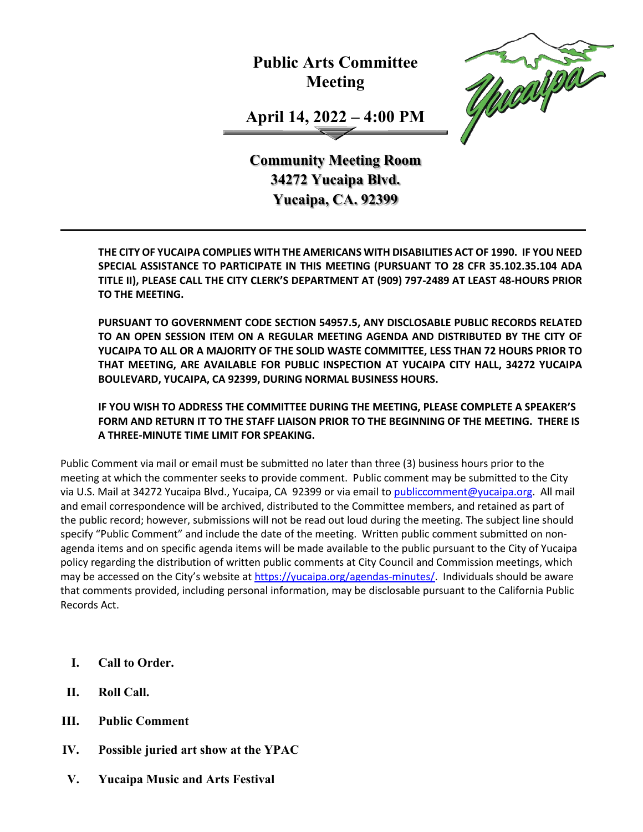**Public Arts Committee Meeting**



**April 14, 2022 – 4:00 PM**

**Community Meeting Room 34272 Yucaipa Blvd. Yucaipa, CA. 92399**

**THE CITY OF YUCAIPA COMPLIES WITH THE AMERICANS WITH DISABILITIES ACT OF 1990. IF YOU NEED SPECIAL ASSISTANCE TO PARTICIPATE IN THIS MEETING (PURSUANT TO 28 CFR 35.102.35.104 ADA TITLE II), PLEASE CALL THE CITY CLERK'S DEPARTMENT AT (909) 797-2489 AT LEAST 48-HOURS PRIOR TO THE MEETING.**

**PURSUANT TO GOVERNMENT CODE SECTION 54957.5, ANY DISCLOSABLE PUBLIC RECORDS RELATED TO AN OPEN SESSION ITEM ON A REGULAR MEETING AGENDA AND DISTRIBUTED BY THE CITY OF YUCAIPA TO ALL OR A MAJORITY OF THE SOLID WASTE COMMITTEE, LESS THAN 72 HOURS PRIOR TO THAT MEETING, ARE AVAILABLE FOR PUBLIC INSPECTION AT YUCAIPA CITY HALL, 34272 YUCAIPA BOULEVARD, YUCAIPA, CA 92399, DURING NORMAL BUSINESS HOURS.**

**IF YOU WISH TO ADDRESS THE COMMITTEE DURING THE MEETING, PLEASE COMPLETE A SPEAKER'S FORM AND RETURN IT TO THE STAFF LIAISON PRIOR TO THE BEGINNING OF THE MEETING. THERE IS A THREE-MINUTE TIME LIMIT FOR SPEAKING.**

Public Comment via mail or email must be submitted no later than three (3) business hours prior to the meeting at which the commenter seeks to provide comment. Public comment may be submitted to the City via U.S. Mail at 34272 Yucaipa Blvd., Yucaipa, CA 92399 or via email to [publiccomment@yucaipa.org.](mailto:publiccomment@yucaipa.org) All mail and email correspondence will be archived, distributed to the Committee members, and retained as part of the public record; however, submissions will not be read out loud during the meeting. The subject line should specify "Public Comment" and include the date of the meeting. Written public comment submitted on nonagenda items and on specific agenda items will be made available to the public pursuant to the City of Yucaipa policy regarding the distribution of written public comments at City Council and Commission meetings, which may be accessed on the City's website at [https://yucaipa.org/agendas-minutes/.](https://linkprotect.cudasvc.com/url?a=https%3a%2f%2fyucaipa.org%2fagendas-minutes%2f&c=E,1,8iu_aLaCQsOmYjnWdhNeQgU9-XVoB5a0CzOs_nrmw5nAY-k_y7XZa3JAnXx2dduIQhERc5pzGH0uA9TG0OvmT6S6_YXFTmLh8Gy4-DGG9zUALHtuXEtWj2x5&typo=1) Individuals should be aware that comments provided, including personal information, may be disclosable pursuant to the California Public Records Act.

- **I. Call to Order.**
- **II. Roll Call.**
- **III. Public Comment**
- **IV. Possible juried art show at the YPAC**
- **V. Yucaipa Music and Arts Festival**